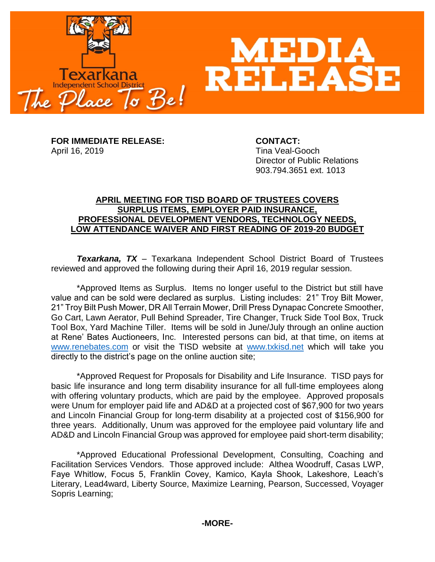

**FOR IMMEDIATE RELEASE: CONTACT:** April 16, 2019 **Time Veal-Gooch** 

Director of Public Relations 903.794.3651 ext. 1013

## **APRIL MEETING FOR TISD BOARD OF TRUSTEES COVERS SURPLUS ITEMS, EMPLOYER PAID INSURANCE, PROFESSIONAL DEVELOPMENT VENDORS, TECHNOLOGY NEEDS, LOW ATTENDANCE WAIVER AND FIRST READING OF 2019-20 BUDGET**

*Texarkana, TX* – Texarkana Independent School District Board of Trustees reviewed and approved the following during their April 16, 2019 regular session.

\*Approved Items as Surplus. Items no longer useful to the District but still have value and can be sold were declared as surplus. Listing includes: 21" Troy Bilt Mower, 21" Troy Bilt Push Mower, DR All Terrain Mower, Drill Press Dynapac Concrete Smoother, Go Cart, Lawn Aerator, Pull Behind Spreader, Tire Changer, Truck Side Tool Box, Truck Tool Box, Yard Machine Tiller. Items will be sold in June/July through an online auction at Rene' Bates Auctioneers, Inc. Interested persons can bid, at that time, on items at [www.renebates.com](http://www.renebates.com/) or visit the TISD website at [www.txkisd.net](http://www.txkisd.net/) which will take you directly to the district's page on the online auction site;

\*Approved Request for Proposals for Disability and Life Insurance. TISD pays for basic life insurance and long term disability insurance for all full-time employees along with offering voluntary products, which are paid by the employee. Approved proposals were Unum for employer paid life and AD&D at a projected cost of \$67,900 for two years and Lincoln Financial Group for long-term disability at a projected cost of \$156,900 for three years. Additionally, Unum was approved for the employee paid voluntary life and AD&D and Lincoln Financial Group was approved for employee paid short-term disability;

\*Approved Educational Professional Development, Consulting, Coaching and Facilitation Services Vendors. Those approved include: Althea Woodruff, Casas LWP, Faye Whitlow, Focus 5, Franklin Covey, Kamico, Kayla Shook, Lakeshore, Leach's Literary, Lead4ward, Liberty Source, Maximize Learning, Pearson, Successed, Voyager Sopris Learning;